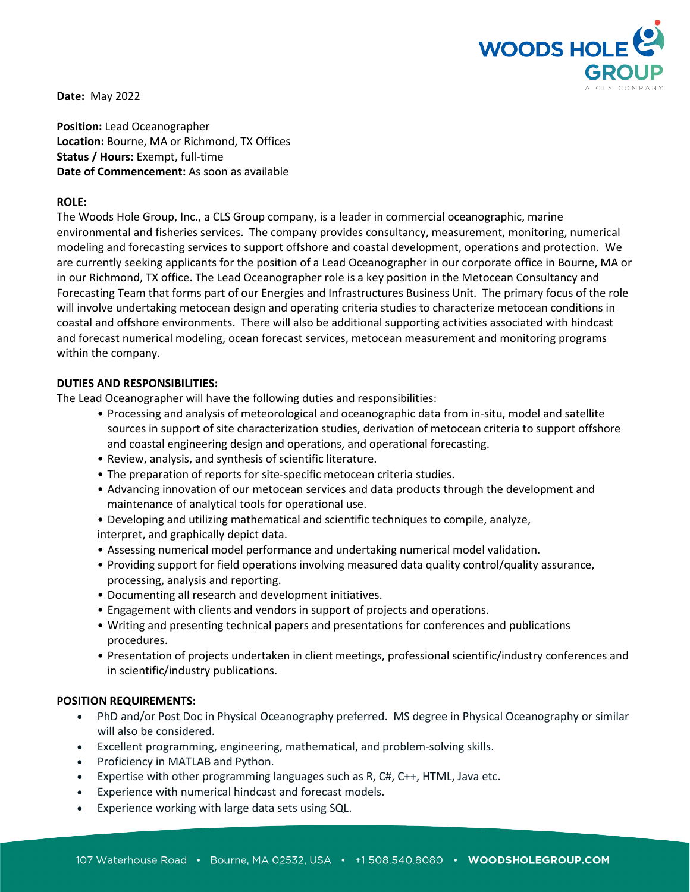

**Date:** May 2022

**Position:** Lead Oceanographer **Location:** Bourne, MA or Richmond, TX Offices **Status / Hours:** Exempt, full-time **Date of Commencement:** As soon as available

# **ROLE:**

The Woods Hole Group, Inc., a CLS Group company, is a leader in commercial oceanographic, marine environmental and fisheries services. The company provides consultancy, measurement, monitoring, numerical modeling and forecasting services to support offshore and coastal development, operations and protection. We are currently seeking applicants for the position of a Lead Oceanographer in our corporate office in Bourne, MA or in our Richmond, TX office. The Lead Oceanographer role is a key position in the Metocean Consultancy and Forecasting Team that forms part of our Energies and Infrastructures Business Unit. The primary focus of the role will involve undertaking metocean design and operating criteria studies to characterize metocean conditions in coastal and offshore environments. There will also be additional supporting activities associated with hindcast and forecast numerical modeling, ocean forecast services, metocean measurement and monitoring programs within the company.

# **DUTIES AND RESPONSIBILITIES:**

The Lead Oceanographer will have the following duties and responsibilities:

- Processing and analysis of meteorological and oceanographic data from in-situ, model and satellite sources in support of site characterization studies, derivation of metocean criteria to support offshore and coastal engineering design and operations, and operational forecasting.
- Review, analysis, and synthesis of scientific literature.
- The preparation of reports for site-specific metocean criteria studies.
- Advancing innovation of our metocean services and data products through the development and maintenance of analytical tools for operational use.
- Developing and utilizing mathematical and scientific techniques to compile, analyze,
- interpret, and graphically depict data.
- Assessing numerical model performance and undertaking numerical model validation.
- Providing support for field operations involving measured data quality control/quality assurance, processing, analysis and reporting.
- Documenting all research and development initiatives.
- Engagement with clients and vendors in support of projects and operations.
- Writing and presenting technical papers and presentations for conferences and publications procedures.
- Presentation of projects undertaken in client meetings, professional scientific/industry conferences and in scientific/industry publications.

# **POSITION REQUIREMENTS:**

- PhD and/or Post Doc in Physical Oceanography preferred. MS degree in Physical Oceanography or similar will also be considered.
- Excellent programming, engineering, mathematical, and problem-solving skills.
- Proficiency in MATLAB and Python.
- Expertise with other programming languages such as R, C#, C++, HTML, Java etc.
- Experience with numerical hindcast and forecast models.
- Experience working with large data sets using SQL.